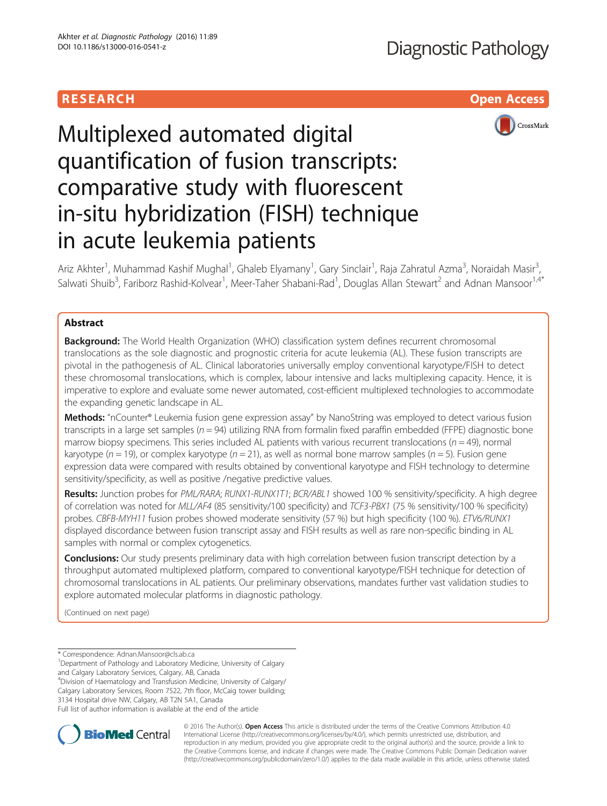# **RESEARCH CHILD CONTROL** CONTROL CONTROL CONTROL CONTROL CONTROL CONTROL CONTROL CONTROL CONTROL CONTROL CONTROL



# Multiplexed automated digital quantification of fusion transcripts: comparative study with fluorescent in-situ hybridization (FISH) technique in acute leukemia patients

Ariz Akhter<sup>1</sup>, Muhammad Kashif Mughal<sup>1</sup>, Ghaleb Elyamany<sup>1</sup>, Gary Sinclair<sup>1</sup>, Raja Zahratul Azma<sup>3</sup>, Noraidah Masir<sup>3</sup> , Salwati Shuib<sup>3</sup>, Fariborz Rashid-Kolvear<sup>1</sup>, Meer-Taher Shabani-Rad<sup>1</sup>, Douglas Allan Stewart<sup>2</sup> and Adnan Mansoor<sup>1,4\*</sup>

# Abstract

**Background:** The World Health Organization (WHO) classification system defines recurrent chromosomal translocations as the sole diagnostic and prognostic criteria for acute leukemia (AL). These fusion transcripts are pivotal in the pathogenesis of AL. Clinical laboratories universally employ conventional karyotype/FISH to detect these chromosomal translocations, which is complex, labour intensive and lacks multiplexing capacity. Hence, it is imperative to explore and evaluate some newer automated, cost-efficient multiplexed technologies to accommodate the expanding genetic landscape in AL.

Methods: "nCounter® Leukemia fusion gene expression assay" by NanoString was employed to detect various fusion transcripts in a large set samples ( $n = 94$ ) utilizing RNA from formalin fixed paraffin embedded (FFPE) diagnostic bone marrow biopsy specimens. This series included AL patients with various recurrent translocations ( $n = 49$ ), normal karyotype ( $n = 19$ ), or complex karyotype ( $n = 21$ ), as well as normal bone marrow samples ( $n = 5$ ). Fusion gene expression data were compared with results obtained by conventional karyotype and FISH technology to determine sensitivity/specificity, as well as positive /negative predictive values.

Results: Junction probes for PML/RARA; RUNX1-RUNX1T1; BCR/ABL1 showed 100 % sensitivity/specificity. A high degree of correlation was noted for MLL/AF4 (85 sensitivity/100 specificity) and TCF3-PBX1 (75 % sensitivity/100 % specificity) probes. CBFB-MYH11 fusion probes showed moderate sensitivity (57 %) but high specificity (100 %). ETV6/RUNX1 displayed discordance between fusion transcript assay and FISH results as well as rare non-specific binding in AL samples with normal or complex cytogenetics.

**Conclusions:** Our study presents preliminary data with high correlation between fusion transcript detection by a throughput automated multiplexed platform, compared to conventional karyotype/FISH technique for detection of chromosomal translocations in AL patients. Our preliminary observations, mandates further vast validation studies to explore automated molecular platforms in diagnostic pathology.

(Continued on next page)

\* Correspondence: [Adnan.Mansoor@cls.ab.ca](mailto:Adnan.Mansoor@cls.ab.ca) <sup>1</sup>

and Calgary Laboratory Services, Calgary, AB, Canada

4 Division of Haematology and Transfusion Medicine, University of Calgary/

Calgary Laboratory Services, Room 7522, 7th floor, McCaig tower building;

3134 Hospital drive NW, Calgary, AB T2N 5A1, Canada

Full list of author information is available at the end of the article



© 2016 The Author(s). Open Access This article is distributed under the terms of the Creative Commons Attribution 4.0 International License [\(http://creativecommons.org/licenses/by/4.0/](http://creativecommons.org/licenses/by/4.0/)), which permits unrestricted use, distribution, and reproduction in any medium, provided you give appropriate credit to the original author(s) and the source, provide a link to the Creative Commons license, and indicate if changes were made. The Creative Commons Public Domain Dedication waiver [\(http://creativecommons.org/publicdomain/zero/1.0/](http://creativecommons.org/publicdomain/zero/1.0/)) applies to the data made available in this article, unless otherwise stated.

<sup>&</sup>lt;sup>1</sup>Department of Pathology and Laboratory Medicine, University of Calgary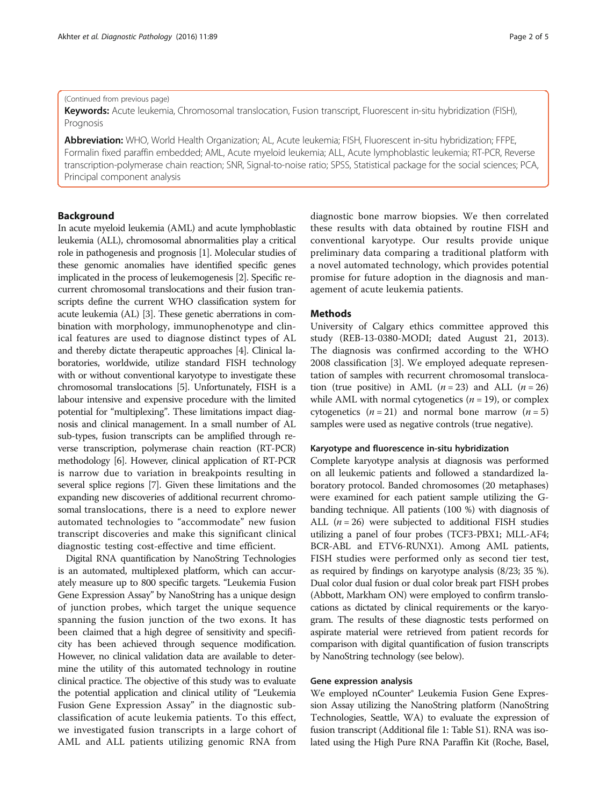#### (Continued from previous page)

Keywords: Acute leukemia, Chromosomal translocation, Fusion transcript, Fluorescent in-situ hybridization (FISH), Prognosis

Abbreviation: WHO, World Health Organization; AL, Acute leukemia; FISH, Fluorescent in-situ hybridization; FFPE, Formalin fixed paraffin embedded; AML, Acute myeloid leukemia; ALL, Acute lymphoblastic leukemia; RT-PCR, Reverse transcription-polymerase chain reaction; SNR, Signal-to-noise ratio; SPSS, Statistical package for the social sciences; PCA, Principal component analysis

# Background

In acute myeloid leukemia (AML) and acute lymphoblastic leukemia (ALL), chromosomal abnormalities play a critical role in pathogenesis and prognosis [\[1\]](#page-4-0). Molecular studies of these genomic anomalies have identified specific genes implicated in the process of leukemogenesis [\[2](#page-4-0)]. Specific recurrent chromosomal translocations and their fusion transcripts define the current WHO classification system for acute leukemia (AL) [[3](#page-4-0)]. These genetic aberrations in combination with morphology, immunophenotype and clinical features are used to diagnose distinct types of AL and thereby dictate therapeutic approaches [\[4](#page-4-0)]. Clinical laboratories, worldwide, utilize standard FISH technology with or without conventional karyotype to investigate these chromosomal translocations [\[5](#page-4-0)]. Unfortunately, FISH is a labour intensive and expensive procedure with the limited potential for "multiplexing". These limitations impact diagnosis and clinical management. In a small number of AL sub-types, fusion transcripts can be amplified through reverse transcription, polymerase chain reaction (RT-PCR) methodology [[6](#page-4-0)]. However, clinical application of RT-PCR is narrow due to variation in breakpoints resulting in several splice regions [[7](#page-4-0)]. Given these limitations and the expanding new discoveries of additional recurrent chromosomal translocations, there is a need to explore newer automated technologies to "accommodate" new fusion transcript discoveries and make this significant clinical diagnostic testing cost-effective and time efficient.

Digital RNA quantification by NanoString Technologies is an automated, multiplexed platform, which can accurately measure up to 800 specific targets. "Leukemia Fusion Gene Expression Assay" by NanoString has a unique design of junction probes, which target the unique sequence spanning the fusion junction of the two exons. It has been claimed that a high degree of sensitivity and specificity has been achieved through sequence modification. However, no clinical validation data are available to determine the utility of this automated technology in routine clinical practice. The objective of this study was to evaluate the potential application and clinical utility of "Leukemia Fusion Gene Expression Assay" in the diagnostic subclassification of acute leukemia patients. To this effect, we investigated fusion transcripts in a large cohort of AML and ALL patients utilizing genomic RNA from diagnostic bone marrow biopsies. We then correlated these results with data obtained by routine FISH and conventional karyotype. Our results provide unique preliminary data comparing a traditional platform with a novel automated technology, which provides potential promise for future adoption in the diagnosis and management of acute leukemia patients.

#### Methods

University of Calgary ethics committee approved this study (REB-13-0380-MODI; dated August 21, 2013). The diagnosis was confirmed according to the WHO 2008 classification [\[3](#page-4-0)]. We employed adequate representation of samples with recurrent chromosomal translocation (true positive) in AML ( $n = 23$ ) and ALL ( $n = 26$ ) while AML with normal cytogenetics  $(n = 19)$ , or complex cytogenetics  $(n = 21)$  and normal bone marrow  $(n = 5)$ samples were used as negative controls (true negative).

#### Karyotype and fluorescence in-situ hybridization

Complete karyotype analysis at diagnosis was performed on all leukemic patients and followed a standardized laboratory protocol. Banded chromosomes (20 metaphases) were examined for each patient sample utilizing the Gbanding technique. All patients (100 %) with diagnosis of ALL  $(n = 26)$  were subjected to additional FISH studies utilizing a panel of four probes (TCF3-PBX1; MLL-AF4; BCR-ABL and ETV6-RUNX1). Among AML patients, FISH studies were performed only as second tier test, as required by findings on karyotype analysis (8/23; 35 %). Dual color dual fusion or dual color break part FISH probes (Abbott, Markham ON) were employed to confirm translocations as dictated by clinical requirements or the karyogram. The results of these diagnostic tests performed on aspirate material were retrieved from patient records for comparison with digital quantification of fusion transcripts by NanoString technology (see below).

#### Gene expression analysis

We employed nCounter® Leukemia Fusion Gene Expression Assay utilizing the NanoString platform (NanoString Technologies, Seattle, WA) to evaluate the expression of fusion transcript (Additional file [1](#page-3-0): Table S1). RNA was isolated using the High Pure RNA Paraffin Kit (Roche, Basel,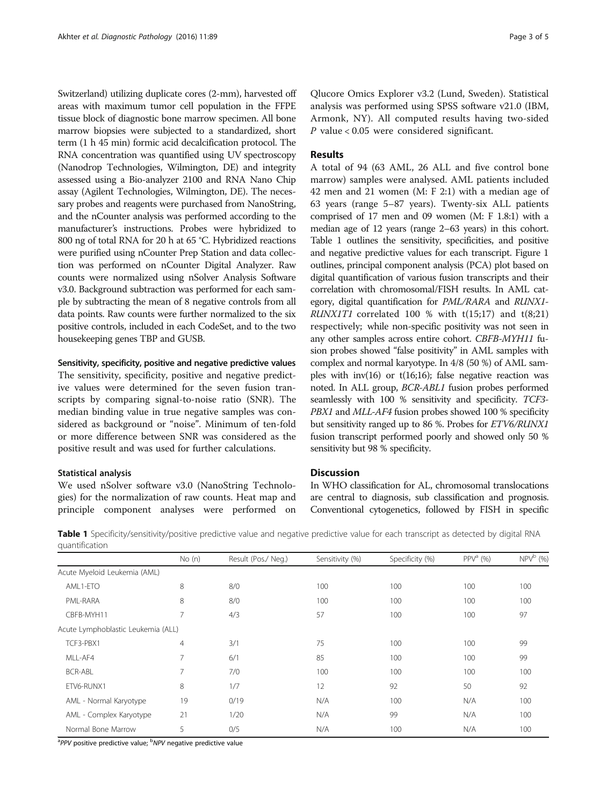Switzerland) utilizing duplicate cores (2-mm), harvested off areas with maximum tumor cell population in the FFPE tissue block of diagnostic bone marrow specimen. All bone marrow biopsies were subjected to a standardized, short term (1 h 45 min) formic acid decalcification protocol. The RNA concentration was quantified using UV spectroscopy (Nanodrop Technologies, Wilmington, DE) and integrity assessed using a Bio-analyzer 2100 and RNA Nano Chip assay (Agilent Technologies, Wilmington, DE). The necessary probes and reagents were purchased from NanoString, and the nCounter analysis was performed according to the manufacturer's instructions. Probes were hybridized to 800 ng of total RNA for 20 h at 65 °C. Hybridized reactions were purified using nCounter Prep Station and data collection was performed on nCounter Digital Analyzer. Raw counts were normalized using nSolver Analysis Software v3.0. Background subtraction was performed for each sample by subtracting the mean of 8 negative controls from all data points. Raw counts were further normalized to the six positive controls, included in each CodeSet, and to the two housekeeping genes TBP and GUSB.

# Sensitivity, specificity, positive and negative predictive values

The sensitivity, specificity, positive and negative predictive values were determined for the seven fusion transcripts by comparing signal-to-noise ratio (SNR). The median binding value in true negative samples was considered as background or "noise". Minimum of ten-fold or more difference between SNR was considered as the positive result and was used for further calculations.

# Statistical analysis

We used nSolver software v3.0 (NanoString Technologies) for the normalization of raw counts. Heat map and principle component analyses were performed on

Qlucore Omics Explorer v3.2 (Lund, Sweden). Statistical analysis was performed using SPSS software v21.0 (IBM, Armonk, NY). All computed results having two-sided P value < 0.05 were considered significant.

### Results

A total of 94 (63 AML, 26 ALL and five control bone marrow) samples were analysed. AML patients included 42 men and 21 women (M: F 2:1) with a median age of 63 years (range 5–87 years). Twenty-six ALL patients comprised of 17 men and 09 women (M: F 1.8:1) with a median age of 12 years (range 2–63 years) in this cohort. Table 1 outlines the sensitivity, specificities, and positive and negative predictive values for each transcript. Figure [1](#page-3-0) outlines, principal component analysis (PCA) plot based on digital quantification of various fusion transcripts and their correlation with chromosomal/FISH results. In AML category, digital quantification for PML/RARA and RUNX1- *RUNX1T1* correlated 100 % with  $t(15;17)$  and  $t(8;21)$ respectively; while non-specific positivity was not seen in any other samples across entire cohort. CBFB-MYH11 fusion probes showed "false positivity" in AML samples with complex and normal karyotype. In 4/8 (50 %) of AML samples with inv(16) or  $t(16;16)$ ; false negative reaction was noted. In ALL group, BCR-ABL1 fusion probes performed seamlessly with 100 % sensitivity and specificity. TCF3- PBX1 and MLL-AF4 fusion probes showed 100 % specificity but sensitivity ranged up to 86 %. Probes for ETV6/RUNX1 fusion transcript performed poorly and showed only 50 % sensitivity but 98 % specificity.

# **Discussion**

In WHO classification for AL, chromosomal translocations are central to diagnosis, sub classification and prognosis. Conventional cytogenetics, followed by FISH in specific

Table 1 Specificity/sensitivity/positive predictive value and negative predictive value for each transcript as detected by digital RNA quantification

|                                    | No(n)          | Result (Pos./ Neg.) | Sensitivity (%) | Specificity (%) | $PPVa$ (%) | $NPV^b$ (%) |
|------------------------------------|----------------|---------------------|-----------------|-----------------|------------|-------------|
| Acute Myeloid Leukemia (AML)       |                |                     |                 |                 |            |             |
| AML1-ETO                           | 8              | 8/0                 | 100             | 100             | 100        | 100         |
| PML-RARA                           | 8              | 8/0                 | 100             | 100             | 100        | 100         |
| CBFB-MYH11                         | $\overline{7}$ | 4/3                 | 57              | 100             | 100        | 97          |
| Acute Lymphoblastic Leukemia (ALL) |                |                     |                 |                 |            |             |
| TCF3-PBX1                          | $\overline{4}$ | 3/1                 | 75              | 100             | 100        | 99          |
| MLL-AF4                            | $\overline{7}$ | 6/1                 | 85              | 100             | 100        | 99          |
| <b>BCR-ABL</b>                     | $\overline{7}$ | 7/0                 | 100             | 100             | 100        | 100         |
| ETV6-RUNX1                         | 8              | 1/7                 | 12              | 92              | 50         | 92          |
| AML - Normal Karyotype             | 19             | 0/19                | N/A             | 100             | N/A        | 100         |
| AML - Complex Karyotype            | 21             | 1/20                | N/A             | 99              | N/A        | 100         |
| Normal Bone Marrow                 | 5              | 0/5                 | N/A             | 100             | N/A        | 100         |

<sup>a</sup>PPV positive predictive value; <sup>b</sup>NPV negative predictive value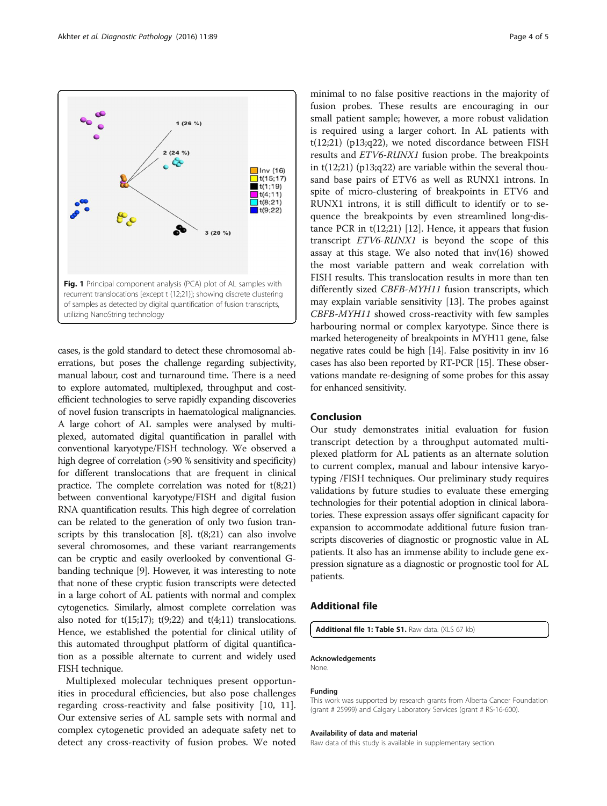<span id="page-3-0"></span>

cases, is the gold standard to detect these chromosomal aberrations, but poses the challenge regarding subjectivity, manual labour, cost and turnaround time. There is a need to explore automated, multiplexed, throughput and costefficient technologies to serve rapidly expanding discoveries of novel fusion transcripts in haematological malignancies. A large cohort of AL samples were analysed by multiplexed, automated digital quantification in parallel with conventional karyotype/FISH technology. We observed a high degree of correlation (>90 % sensitivity and specificity) for different translocations that are frequent in clinical practice. The complete correlation was noted for t(8;21) between conventional karyotype/FISH and digital fusion RNA quantification results. This high degree of correlation can be related to the generation of only two fusion transcripts by this translocation  $[8]$ .  $t(8;21)$  can also involve several chromosomes, and these variant rearrangements can be cryptic and easily overlooked by conventional Gbanding technique [\[9\]](#page-4-0). However, it was interesting to note that none of these cryptic fusion transcripts were detected in a large cohort of AL patients with normal and complex cytogenetics. Similarly, almost complete correlation was also noted for  $t(15;17)$ ;  $t(9;22)$  and  $t(4;11)$  translocations. Hence, we established the potential for clinical utility of this automated throughput platform of digital quantification as a possible alternate to current and widely used FISH technique.

Multiplexed molecular techniques present opportunities in procedural efficiencies, but also pose challenges regarding cross-reactivity and false positivity [[10, 11](#page-4-0)]. Our extensive series of AL sample sets with normal and complex cytogenetic provided an adequate safety net to detect any cross-reactivity of fusion probes. We noted

minimal to no false positive reactions in the majority of fusion probes. These results are encouraging in our small patient sample; however, a more robust validation is required using a larger cohort. In AL patients with t(12;21) (p13;q22), we noted discordance between FISH results and ETV6-RUNX1 fusion probe. The breakpoints in  $t(12;21)$  (p13;q22) are variable within the several thousand base pairs of ETV6 as well as RUNX1 introns. In spite of micro-clustering of breakpoints in ETV6 and RUNX1 introns, it is still difficult to identify or to sequence the breakpoints by even streamlined long‐distance PCR in  $t(12;21)$  $t(12;21)$  $t(12;21)$  [12]. Hence, it appears that fusion transcript ETV6-RUNX1 is beyond the scope of this assay at this stage. We also noted that inv(16) showed the most variable pattern and weak correlation with FISH results. This translocation results in more than ten differently sized CBFB-MYH11 fusion transcripts, which may explain variable sensitivity [[13](#page-4-0)]. The probes against CBFB-MYH11 showed cross-reactivity with few samples harbouring normal or complex karyotype. Since there is marked heterogeneity of breakpoints in MYH11 gene, false negative rates could be high [\[14\]](#page-4-0). False positivity in inv 16 cases has also been reported by RT-PCR [\[15\]](#page-4-0). These observations mandate re-designing of some probes for this assay for enhanced sensitivity.

# Conclusion

Our study demonstrates initial evaluation for fusion transcript detection by a throughput automated multiplexed platform for AL patients as an alternate solution to current complex, manual and labour intensive karyotyping /FISH techniques. Our preliminary study requires validations by future studies to evaluate these emerging technologies for their potential adoption in clinical laboratories. These expression assays offer significant capacity for expansion to accommodate additional future fusion transcripts discoveries of diagnostic or prognostic value in AL patients. It also has an immense ability to include gene expression signature as a diagnostic or prognostic tool for AL patients.

# Additional file

[Additional file 1: Table S1.](dx.doi.org/10.1186/s13000-016-0541-z) Raw data. (XLS 67 kb)

# Acknowledgements

None.

#### Funding

This work was supported by research grants from Alberta Cancer Foundation (grant # 25999) and Calgary Laboratory Services (grant # RS-16-600).

#### Availability of data and material

Raw data of this study is available in supplementary section.